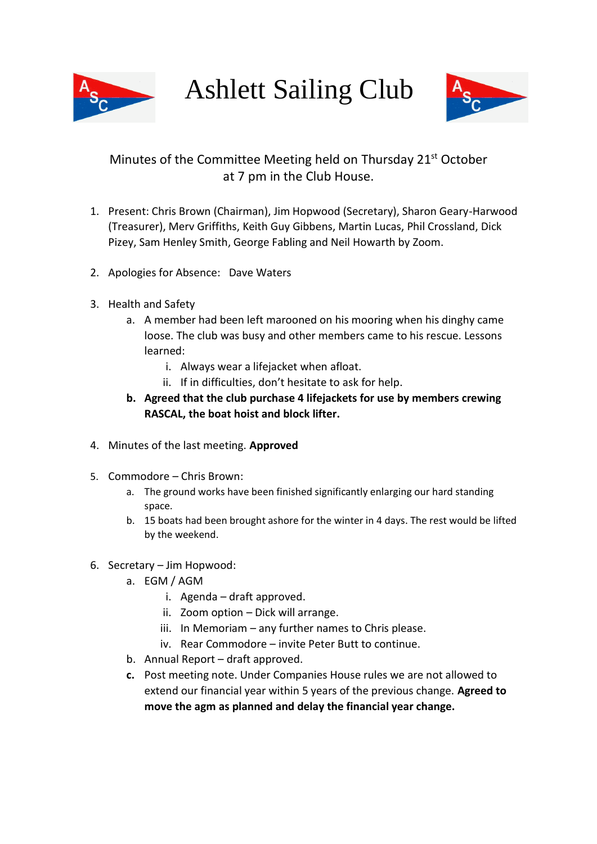

Ashlett Sailing Club



## Minutes of the Committee Meeting held on Thursday 21<sup>st</sup> October at 7 pm in the Club House.

- 1. Present: Chris Brown (Chairman), Jim Hopwood (Secretary), Sharon Geary-Harwood (Treasurer), Merv Griffiths, Keith Guy Gibbens, Martin Lucas, Phil Crossland, Dick Pizey, Sam Henley Smith, George Fabling and Neil Howarth by Zoom.
- 2. Apologies for Absence: Dave Waters
- 3. Health and Safety
	- a. A member had been left marooned on his mooring when his dinghy came loose. The club was busy and other members came to his rescue. Lessons learned:
		- i. Always wear a lifejacket when afloat.
		- ii. If in difficulties, don't hesitate to ask for help.
	- **b. Agreed that the club purchase 4 lifejackets for use by members crewing RASCAL, the boat hoist and block lifter.**
- 4. Minutes of the last meeting. **Approved**
- 5. Commodore Chris Brown:
	- a. The ground works have been finished significantly enlarging our hard standing space.
	- b. 15 boats had been brought ashore for the winter in 4 days. The rest would be lifted by the weekend.
- 6. Secretary Jim Hopwood:
	- a. EGM / AGM
		- i. Agenda draft approved.
		- ii. Zoom option Dick will arrange.
		- iii. In Memoriam any further names to Chris please.
		- iv. Rear Commodore invite Peter Butt to continue.
	- b. Annual Report draft approved.
	- **c.** Post meeting note. Under Companies House rules we are not allowed to extend our financial year within 5 years of the previous change. **Agreed to move the agm as planned and delay the financial year change.**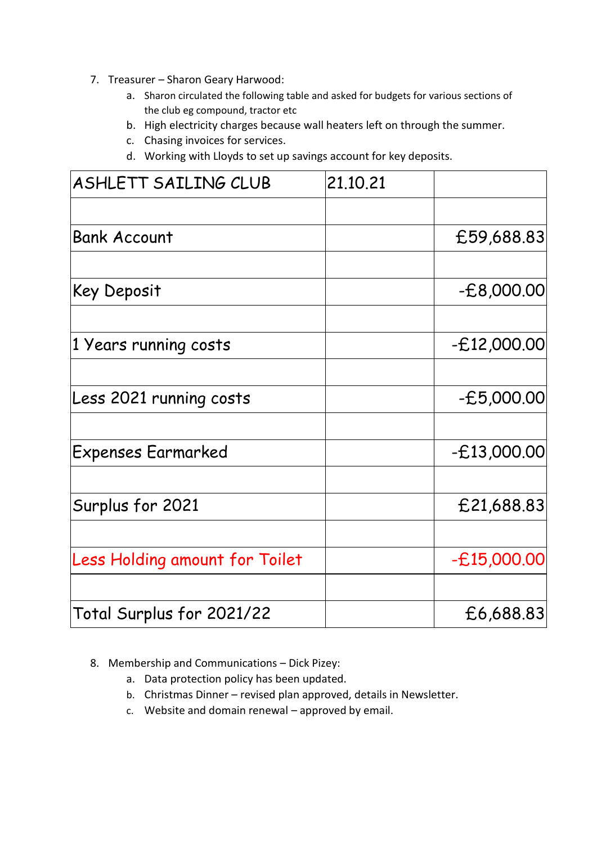- 7. Treasurer Sharon Geary Harwood:
	- a. Sharon circulated the following table and asked for budgets for various sections of the club eg compound, tractor etc
	- b. High electricity charges because wall heaters left on through the summer.
	- c. Chasing invoices for services.
	- d. Working with Lloyds to set up savings account for key deposits.

| ASHLETT SAILING CLUB                  | 21.10.21 |               |
|---------------------------------------|----------|---------------|
|                                       |          |               |
| <b>Bank Account</b>                   |          | £59,688.83    |
| Key Deposit                           |          | $-E8,000.00$  |
| 1 Years running costs                 |          | $-E12,000.00$ |
| Less 2021 running costs               |          | $-E5,000.00$  |
| <b>Expenses Earmarked</b>             |          | $-E13,000.00$ |
| Surplus for 2021                      |          | £21,688.83    |
|                                       |          |               |
| <b>Less Holding amount for Toilet</b> |          | $-E15,000.00$ |
| Total Surplus for 2021/22             |          | £6,688.83     |
|                                       |          |               |

- 8. Membership and Communications Dick Pizey:
	- a. Data protection policy has been updated.
	- b. Christmas Dinner revised plan approved, details in Newsletter.
	- c. Website and domain renewal approved by email.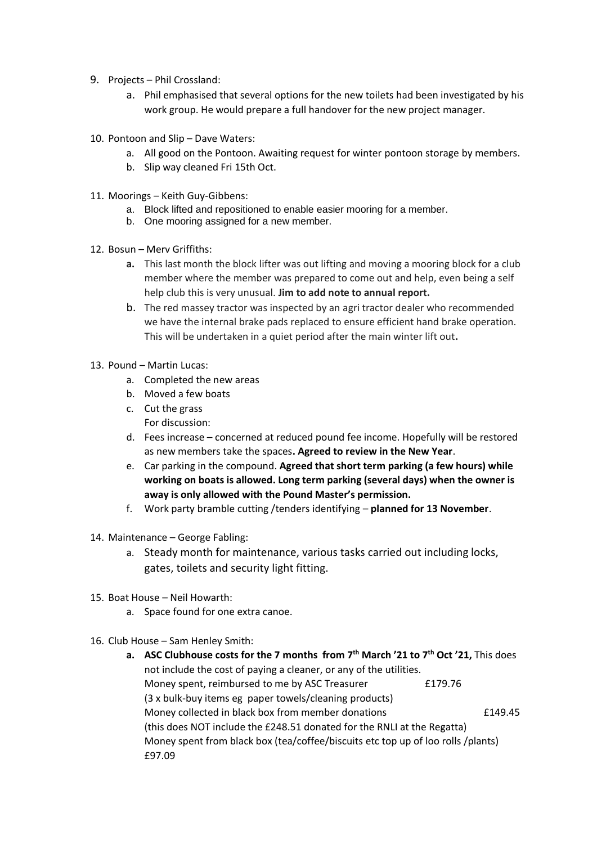- 9. Projects Phil Crossland:
	- a. Phil emphasised that several options for the new toilets had been investigated by his work group. He would prepare a full handover for the new project manager.
- 10. Pontoon and Slip Dave Waters:
	- a. All good on the Pontoon. Awaiting request for winter pontoon storage by members.
	- b. Slip way cleaned Fri 15th Oct.
- 11. Moorings Keith Guy-Gibbens:
	- a. Block lifted and repositioned to enable easier mooring for a member.
	- b. One mooring assigned for a new member.
- 12. Bosun Merv Griffiths:
	- **a.** This last month the block lifter was out lifting and moving a mooring block for a club member where the member was prepared to come out and help, even being a self help club this is very unusual. **Jim to add note to annual report.**
	- b. The red massey tractor was inspected by an agri tractor dealer who recommended we have the internal brake pads replaced to ensure efficient hand brake operation. This will be undertaken in a quiet period after the main winter lift out**.**
- 13. Pound Martin Lucas:
	- a. Completed the new areas
	- b. Moved a few boats
	- c. Cut the grass For discussion:
	- d. Fees increase concerned at reduced pound fee income. Hopefully will be restored as new members take the spaces**. Agreed to review in the New Year**.
	- e. Car parking in the compound. **Agreed that short term parking (a few hours) while working on boats is allowed. Long term parking (several days) when the owner is away is only allowed with the Pound Master's permission.**
	- f. Work party bramble cutting /tenders identifying **planned for 13 November**.
- 14. Maintenance George Fabling:
	- a. Steady month for maintenance, various tasks carried out including locks, gates, toilets and security light fitting.
- 15. Boat House Neil Howarth:
	- a. Space found for one extra canoe.
- 16. Club House Sam Henley Smith:
	- **a. ASC Clubhouse costs for the 7 months from 7th March '21 to 7th Oct '21,** This does not include the cost of paying a cleaner, or any of the utilities. Money spent, reimbursed to me by ASC Treasurer E179.76 (3 x bulk-buy items eg paper towels/cleaning products) Money collected in black box from member donations £149.45 (this does NOT include the £248.51 donated for the RNLI at the Regatta) Money spent from black box (tea/coffee/biscuits etc top up of loo rolls /plants) £97.09